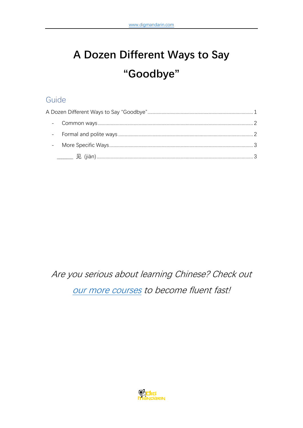# <span id="page-0-0"></span>A Dozen Different Ways to Say "Goodbye"

# Guide

Are you serious about learning Chinese? Check out our more courses to become fluent fast!

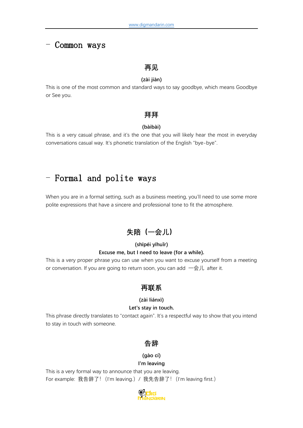### <span id="page-1-0"></span>- Common ways

### **再见**

#### **(zài jiàn)**

This is one of the most common and standard ways to say goodbye, which means Goodbye or See you.

#### **拜拜**

#### **(bàibài)**

This is a very casual phrase, and it's the one that you will likely hear the most in everyday conversations casual way. It's phonetic translation of the English "bye-bye".

# <span id="page-1-1"></span>- Formal and polite ways

When you are in a formal setting, such as a business meeting, you'll need to use some more polite expressions that have a sincere and professional tone to fit the atmosphere.

# **失陪(一会儿)**

#### **(shīpéi yīhuǐr) Excuse me, but I need to leave (for a while).**

This is a very proper phrase you can use when you want to excuse yourself from a meeting or conversation. If you are going to return soon, you can add 一会儿 after it.

### **再联系**

#### **(zài liánxì)**

#### **Let's stay in touch.**

This phrase directly translates to "contact again". It's a respectful way to show that you intend to stay in touch with someone.

### **告辞**

#### **(gào cí)**

#### **I'm leaving**

This is a very formal way to announce that you are leaving. For example: 我告辞了! (I'm leaving.) / 我先告辞了! (I'm leaving first.)

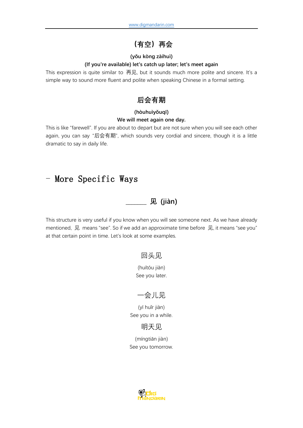# **(有空)再会**

#### **(yǒu kòng zàihuì)**

#### **(If you're available) let's catch up later; let's meet again**

This expression is quite similar to 再见, but it sounds much more polite and sincere. It's a simple way to sound more fluent and polite when speaking Chinese in a formal setting.

# **后会有期**

#### **(hòuhuìyǒuqī) We will meet again one day.**

This is like "farewell". If you are about to depart but are not sure when you will see each other again, you can say "后会有期", which sounds very cordial and sincere, though it is a little dramatic to say in daily life.

# <span id="page-2-1"></span><span id="page-2-0"></span>- More Specific Ways

### **\_\_\_\_\_\_\_ 见 (jiàn)**

This structure is very useful if you know when you will see someone next. As we have already mentioned, 见 means "see". So if we add an approximate time before 见, it means "see you" at that certain point in time. Let's look at some examples.

### 回头见

(huítóu jiàn) See you later.

### 一会儿见

(yī huǐr jiàn) See you in a while.

### 明天见

(míngtiān jiàn) See you tomorrow.